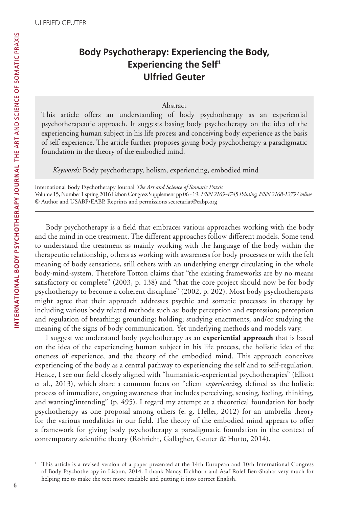# **Body Psychotherapy: Experiencing the Body, Experiencing the Self<sup>1</sup> Ulfried Geuter**

#### Abstract

This article offers an understanding of body psychotherapy as an experiential psychotherapeutic approach. It suggests basing body psychotherapy on the idea of the experiencing human subject in his life process and conceiving body experience as the basis of self-experience. The article further proposes giving body psychotherapy a paradigmatic foundation in the theory of the embodied mind.

*Keywords:* Body psychotherapy, holism, experiencing, embodied mind

International Body Psychotherapy Journal *The Art and Science of Somatic Praxis* Volume 15, Number 1 spring 2016 Lisbon Congress Supplement pp 06 - 19. *ISSN 2169-4745 Printing, ISSN 2168-1279 Online* © Author and USABP/EABP. Reprints and permissions secretariat@eabp.org

Body psychotherapy is a field that embraces various approaches working with the body and the mind in one treatment. The different approaches follow different models. Some tend to understand the treatment as mainly working with the language of the body within the therapeutic relationship, others as working with awareness for body processes or with the felt meaning of body sensations, still others with an underlying energy circulating in the whole body-mind-system. Therefore Totton claims that "the existing frameworks are by no means satisfactory or complete" (2003, p. 138) and "that the core project should now be for body psychotherapy to become a coherent discipline" (2002, p. 202). Most body psychotherapists might agree that their approach addresses psychic and somatic processes in therapy by including various body related methods such as: body perception and expression; perception and regulation of breathing; grounding; holding; studying enactments; and/or studying the meaning of the signs of body communication. Yet underlying methods and models vary.

I suggest we understand body psychotherapy as an **experiential approach** that is based on the idea of the experiencing human subject in his life process, the holistic idea of the oneness of experience, and the theory of the embodied mind. This approach conceives experiencing of the body as a central pathway to experiencing the self and to self-regulation. Hence, I see our field closely aligned with "humanistic-experiential psychotherapies" (Elliott et al., 2013), which share a common focus on "client *experiencing*, defined as the holistic process of immediate, ongoing awareness that includes perceiving, sensing, feeling, thinking, and wanting/intending" (p. 495). I regard my attempt at a theoretical foundation for body psychotherapy as one proposal among others (e. g. Heller, 2012) for an umbrella theory for the various modalities in our field. The theory of the embodied mind appears to offer a framework for giving body psychotherapy a paradigmatic foundation in the context of contemporary scientific theory (Röhricht, Gallagher, Geuter & Hutto, 2014).

<sup>1</sup> This article is a revised version of a paper presented at the 14th European and 10th International Congress of Body Psychotherapy in Lisbon, 2014. I thank Nancy Eichhorn and Asaf Rolef Ben-Shahar very much for helping me to make the text more readable and putting it into correct English.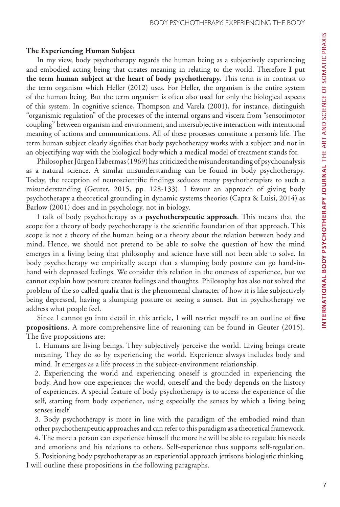#### **The Experiencing Human Subject**

In my view, body psychotherapy regards the human being as a subjectively experiencing and embodied acting being that creates meaning in relating to the world. Therefore **I** put **the term human subject at the heart of body psychotherapy.** This term is in contrast to the term organism which Heller (2012) uses. For Heller, the organism is the entire system of the human being. But the term organism is often also used for only the biological aspects of this system. In cognitive science, Thompson and Varela (2001), for instance, distinguish "organismic regulation" of the processes of the internal organs and viscera from "sensorimotor coupling" between organism and environment, and intersubjective interaction with intentional meaning of actions and communications. All of these processes constitute a person's life. The term human subject clearly signifies that body psychotherapy works with a subject and not in an objectifying way with the biological body which a medical model of treatment stands for.

Philosopher Jürgen Habermas (1969) has criticized the misunderstanding of psychoanalysis as a natural science. A similar misunderstanding can be found in body psychotherapy. Today, the reception of neuroscientific findings seduces many psychotherapists to such a misunderstanding (Geuter, 2015, pp. 128-133). I favour an approach of giving body psychotherapy a theoretical grounding in dynamic systems theories (Capra & Luisi, 2014) as Barlow (2001) does and in psychology, not in biology.

I talk of body psychotherapy as a **psychotherapeutic approach**. This means that the scope for a theory of body psychotherapy is the scientific foundation of that approach. This scope is not a theory of the human being or a theory about the relation between body and mind. Hence, we should not pretend to be able to solve the question of how the mind emerges in a living being that philosophy and science have still not been able to solve. In body psychotherapy we empirically accept that a slumping body posture can go hand-inhand with depressed feelings. We consider this relation in the oneness of experience, but we cannot explain how posture creates feelings and thoughts. Philosophy has also not solved the problem of the so called qualia that is the phenomenal character of how it is like subjectively being depressed, having a slumping posture or seeing a sunset. But in psychotherapy we address what people feel.

Since I cannot go into detail in this article, I will restrict myself to an outline of **five propositions**. A more comprehensive line of reasoning can be found in Geuter (2015). The five propositions are:

1. Humans are living beings. They subjectively perceive the world. Living beings create meaning. They do so by experiencing the world. Experience always includes body and mind. It emerges as a life process in the subject-environment relationship.

2. Experiencing the world and experiencing oneself is grounded in experiencing the body. And how one experiences the world, oneself and the body depends on the history of experiences. A special feature of body psychotherapy is to access the experience of the self, starting from body experience, using especially the senses by which a living being senses itself.

3. Body psychotherapy is more in line with the paradigm of the embodied mind than other psychotherapeutic approaches and can refer to this paradigm as a theoretical framework. 4. The more a person can experience himself the more he will be able to regulate his needs and emotions and his relations to others. Self-experience thus supports self-regulation.

5. Positioning body psychotherapy as an experiential approach jettisons biologistic thinking. I will outline these propositions in the following paragraphs.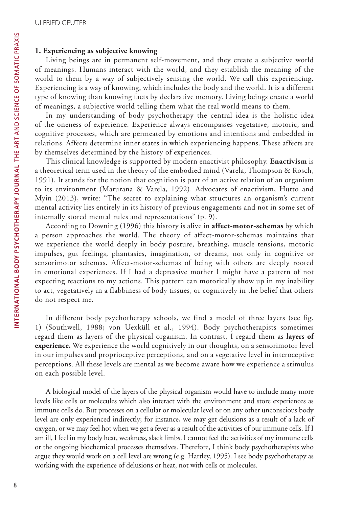## **1. Experiencing as subjective knowing**

Living beings are in permanent self-movement, and they create a subjective world of meanings. Humans interact with the world, and they establish the meaning of the world to them by a way of subjectively sensing the world. We call this experiencing. Experiencing is a way of knowing, which includes the body and the world. It is a different type of knowing than knowing facts by declarative memory. Living beings create a world of meanings, a subjective world telling them what the real world means to them.

In my understanding of body psychotherapy the central idea is the holistic idea of the oneness of experience. Experience always encompasses vegetative, motoric, and cognitive processes, which are permeated by emotions and intentions and embedded in relations. Affects determine inner states in which experiencing happens. These affects are by themselves determined by the history of experiences.

This clinical knowledge is supported by modern enactivist philosophy. **Enactivism** is a theoretical term used in the theory of the embodied mind (Varela, Thompson & Rosch, 1991). It stands for the notion that cognition is part of an active relation of an organism to its environment (Maturana & Varela, 1992). Advocates of enactivism, Hutto and Myin (2013), write: "The secret to explaining what structures an organism's current mental activity lies entirely in its history of previous engagements and not in some set of internally stored mental rules and representations" (p. 9).

According to Downing (1996) this history is alive in **affect-motor-schemas** by which a person approaches the world. The theory of affect-motor-schemas maintains that we experience the world deeply in body posture, breathing, muscle tensions, motoric impulses, gut feelings, phantasies, imagination, or dreams, not only in cognitive or sensorimotor schemas. Affect-motor-schemas of being with others are deeply rooted in emotional experiences. If I had a depressive mother I might have a pattern of not expecting reactions to my actions. This pattern can motorically show up in my inability to act, vegetatively in a flabbiness of body tissues, or cognitively in the belief that others do not respect me.

In different body psychotherapy schools, we find a model of three layers (see fig. 1) (Southwell, 1988; von Uexküll et al., 1994). Body psychotherapists sometimes regard them as layers of the physical organism. In contrast, I regard them as **layers of experience.** We experience the world cognitively in our thoughts, on a sensorimotor level in our impulses and proprioceptive perceptions, and on a vegetative level in interoceptive perceptions. All these levels are mental as we become aware how we experience a stimulus on each possible level.

A biological model of the layers of the physical organism would have to include many more levels like cells or molecules which also interact with the environment and store experiences as immune cells do. But processes on a cellular or molecular level or on any other unconscious body level are only experienced indirectly; for instance, we may get delusions as a result of a lack of oxygen, or we may feel hot when we get a fever as a result of the activities of our immune cells. If I am ill, I feel in my body heat, weakness, slack limbs. I cannot feel the activities of my immune cells or the ongoing biochemical processes themselves. Therefore, I think body psychotherapists who argue they would work on a cell level are wrong (e.g. Hartley, 1995). I see body psychotherapy as working with the experience of delusions or heat, not with cells or molecules.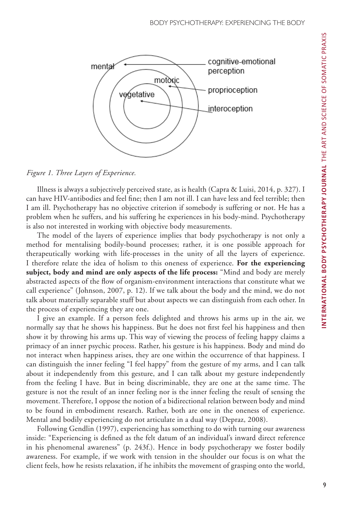

#### *Figure 1. Three Layers of Experience.*

Illness is always a subjectively perceived state, as is health (Capra & Luisi, 2014, p. 327). I can have HIV-antibodies and feel fine; then I am not ill. I can have less and feel terrible; then I am ill. Psychotherapy has no objective criterion if somebody is suffering or not. He has a problem when he suffers, and his suffering he experiences in his body-mind. Psychotherapy is also not interested in working with objective body measurements.

The model of the layers of experience implies that body psychotherapy is not only a method for mentalising bodily-bound processes; rather, it is one possible approach for therapeutically working with life-processes in the unity of all the layers of experience. I therefore relate the idea of holism to this oneness of experience. **For the experiencing subject, body and mind are only aspects of the life process:** "Mind and body are merely abstracted aspects of the flow of organism-environment interactions that constitute what we call experience" (Johnson, 2007, p. 12). If we talk about the body and the mind, we do not talk about materially separable stuff but about aspects we can distinguish from each other. In the process of experiencing they are one.

I give an example. If a person feels delighted and throws his arms up in the air, we normally say that he shows his happiness. But he does not first feel his happiness and then show it by throwing his arms up. This way of viewing the process of feeling happy claims a primacy of an inner psychic process. Rather, his gesture is his happiness. Body and mind do not interact when happiness arises, they are one within the occurrence of that happiness. I can distinguish the inner feeling "I feel happy" from the gesture of my arms, and I can talk about it independently from this gesture, and I can talk about my gesture independently from the feeling I have. But in being discriminable, they are one at the same time. The gesture is not the result of an inner feeling nor is the inner feeling the result of sensing the movement. Therefore, I oppose the notion of a bidirectional relation between body and mind to be found in embodiment research. Rather, both are one in the oneness of experience. Mental and bodily experiencing do not articulate in a dual way (Depraz, 2008).

Following Gendlin (1997), experiencing has something to do with turning our awareness inside: "Experiencing is defined as the felt datum of an individual's inward direct reference in his phenomenal awareness" (p. 243f.). Hence in body psychotherapy we foster bodily awareness. For example, if we work with tension in the shoulder our focus is on what the client feels, how he resists relaxation, if he inhibits the movement of grasping onto the world,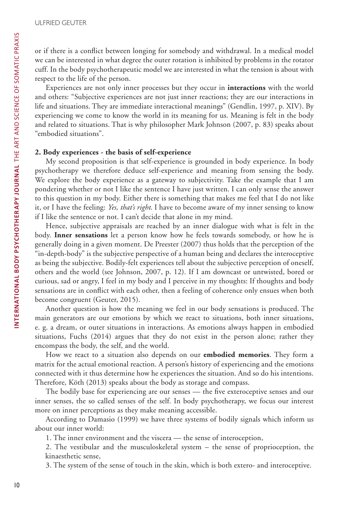or if there is a conflict between longing for somebody and withdrawal. In a medical model we can be interested in what degree the outer rotation is inhibited by problems in the rotator cuff. In the body psychotherapeutic model we are interested in what the tension is about with respect to the life of the person.

Experiences are not only inner processes but they occur in **interactions** with the world and others: "Subjective experiences are not just inner reactions; they are our interactions in life and situations. They are immediate interactional meanings" (Gendlin, 1997, p. XIV). By experiencing we come to know the world in its meaning for us. Meaning is felt in the body and related to situations. That is why philosopher Mark Johnson (2007, p. 83) speaks about "embodied situations".

### **2. Body experiences - the basis of self-experience**

My second proposition is that self-experience is grounded in body experience. In body psychotherapy we therefore deduce self-experience and meaning from sensing the body. We explore the body experience as a gateway to subjectivity. Take the example that I am pondering whether or not I like the sentence I have just written. I can only sense the answer to this question in my body. Either there is something that makes me feel that I do not like it, or I have the feeling: *Yes, that's right*. I have to become aware of my inner sensing to know if I like the sentence or not. I can't decide that alone in my mind.

Hence, subjective appraisals are reached by an inner dialogue with what is felt in the body. **Inner sensations** let a person know how he feels towards somebody, or how he is generally doing in a given moment. De Preester (2007) thus holds that the perception of the "in-depth-body" is the subjective perspective of a human being and declares the interoceptive as being the subjective. Bodily-felt experiences tell about the subjective perception of oneself, others and the world (see Johnson, 2007, p. 12). If I am downcast or untwisted, bored or curious, sad or angry, I feel in my body and I perceive in my thoughts: If thoughts and body sensations are in conflict with each other, then a feeling of coherence only ensues when both become congruent (Geuter, 2015).

Another question is how the meaning we feel in our body sensations is produced. The main generators are our emotions by which we react to situations, both inner situations, e. g. a dream, or outer situations in interactions. As emotions always happen in embodied situations, Fuchs (2014) argues that they do not exist in the person alone; rather they encompass the body, the self, and the world.

How we react to a situation also depends on our **embodied memories**. They form a matrix for the actual emotional reaction. A person's history of experiencing and the emotions connected with it thus determine how he experiences the situation. And so do his intentions. Therefore, Köth (2013) speaks about the body as storage and compass.

The bodily base for experiencing are our senses — the five exteroceptive senses and our inner senses, the so called senses of the self. In body psychotherapy, we focus our interest more on inner perceptions as they make meaning accessible.

According to Damasio (1999) we have three systems of bodily signals which inform us about our inner world:

1. The inner environment and the viscera — the sense of interoception,

2. The vestibular and the musculoskeletal system – the sense of proprioception, the kinaesthetic sense,

3. The system of the sense of touch in the skin, which is both extero- and interoceptive.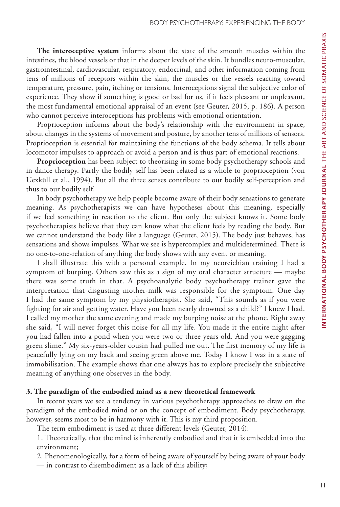**The interoceptive system** informs about the state of the smooth muscles within the intestines, the blood vessels or that in the deeper levels of the skin. It bundles neuro-muscular, gastrointestinal, cardiovascular, respiratory, endocrinal, and other information coming from tens of millions of receptors within the skin, the muscles or the vessels reacting toward temperature, pressure, pain, itching or tensions. Interoceptions signal the subjective color of experience. They show if something is good or bad for us, if it feels pleasant or unpleasant, the most fundamental emotional appraisal of an event (see Geuter, 2015, p. 186). A person who cannot perceive interoceptions has problems with emotional orientation.

Proprioception informs about the body's relationship with the environment in space, about changes in the systems of movement and posture, by another tens of millions of sensors. Proprioception is essential for maintaining the functions of the body schema. It tells about locomotor impulses to approach or avoid a person and is thus part of emotional reactions.

**Proprioception** has been subject to theorising in some body psychotherapy schools and in dance therapy. Partly the bodily self has been related as a whole to proprioception (von Uexküll et al., 1994). But all the three senses contribute to our bodily self-perception and thus to our bodily self.

In body psychotherapy we help people become aware of their body sensations to generate meaning. As psychotherapists we can have hypotheses about this meaning, especially if we feel something in reaction to the client. But only the subject knows it. Some body psychotherapists believe that they can know what the client feels by reading the body. But we cannot understand the body like a language (Geuter, 2015). The body just behaves, has sensations and shows impulses. What we see is hypercomplex and multidetermined. There is no one-to-one-relation of anything the body shows with any event or meaning.

I shall illustrate this with a personal example. In my neoreichian training I had a symptom of burping. Others saw this as a sign of my oral character structure — maybe there was some truth in that. A psychoanalytic body psychotherapy trainer gave the interpretation that disgusting mother-milk was responsible for the symptom. One day I had the same symptom by my physiotherapist. She said, "This sounds as if you were fighting for air and getting water. Have you been nearly drowned as a child?" I knew I had. I called my mother the same evening and made my burping noise at the phone. Right away she said, "I will never forget this noise for all my life. You made it the entire night after you had fallen into a pond when you were two or three years old. And you were gagging green slime." My six-years-older cousin had pulled me out. The first memory of my life is peacefully lying on my back and seeing green above me. Today I know I was in a state of immobilisation. The example shows that one always has to explore precisely the subjective meaning of anything one observes in the body.

#### **3. The paradigm of the embodied mind as a new theoretical framework**

In recent years we see a tendency in various psychotherapy approaches to draw on the paradigm of the embodied mind or on the concept of embodiment. Body psychotherapy, however, seems most to be in harmony with it. This is my third proposition.

The term embodiment is used at three different levels (Geuter, 2014):

1. Theoretically, that the mind is inherently embodied and that it is embedded into the environment;

2. Phenomenologically, for a form of being aware of yourself by being aware of your body — in contrast to disembodiment as a lack of this ability;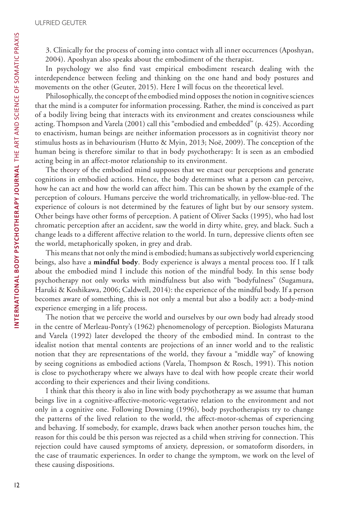3. Clinically for the process of coming into contact with all inner occurrences (Aposhyan, 2004). Aposhyan also speaks about the embodiment of the therapist.

In psychology we also find vast empirical embodiment research dealing with the interdependence between feeling and thinking on the one hand and body postures and movements on the other (Geuter, 2015). Here I will focus on the theoretical level.

Philosophically, the concept of the embodied mind opposes the notion in cognitive sciences that the mind is a computer for information processing. Rather, the mind is conceived as part of a bodily living being that interacts with its environment and creates consciousness while acting. Thompson and Varela (2001) call this "embodied and embedded" (p. 425). According to enactivism, human beings are neither information processors as in cognitivist theory nor stimulus hosts as in behaviourism (Hutto & Myin, 2013; Noë, 2009). The conception of the human being is therefore similar to that in body psychotherapy: It is seen as an embodied acting being in an affect-motor relationship to its environment.

The theory of the embodied mind supposes that we enact our perceptions and generate cognitions in embodied actions. Hence, the body determines what a person can perceive, how he can act and how the world can affect him. This can be shown by the example of the perception of colours. Humans perceive the world trichromatically, in yellow-blue-red. The experience of colours is not determined by the features of light but by our sensory system. Other beings have other forms of perception. A patient of Oliver Sacks (1995), who had lost chromatic perception after an accident, saw the world in dirty white, grey, and black. Such a change leads to a different affective relation to the world. In turn, depressive clients often see the world, metaphorically spoken, in grey and drab.

This means that not only the mind is embodied; humans as subjectively world experiencing beings, also have a **mindful body**. Body experience is always a mental process too. If I talk about the embodied mind I include this notion of the mindful body. In this sense body psychotherapy not only works with mindfulness but also with "bodyfulness" (Sugamura, Haruki & Koshikawa, 2006; Caldwell, 2014): the experience of the mindful body. If a person becomes aware of something, this is not only a mental but also a bodily act: a body-mind experience emerging in a life process.

The notion that we perceive the world and ourselves by our own body had already stood in the centre of Merleau-Ponty's (1962) phenomenology of perception. Biologists Maturana and Varela (1992) later developed the theory of the embodied mind. In contrast to the idealist notion that mental contents are projections of an inner world and to the realistic notion that they are representations of the world, they favour a "middle way" of knowing by seeing cognitions as embodied actions (Varela, Thompson & Rosch, 1991). This notion is close to psychotherapy where we always have to deal with how people create their world according to their experiences and their living conditions.

I think that this theory is also in line with body psychotherapy as we assume that human beings live in a cognitive-affective-motoric-vegetative relation to the environment and not only in a cognitive one. Following Downing (1996), body psychotherapists try to change the patterns of the lived relation to the world, the affect-motor-schemas of experiencing and behaving. If somebody, for example, draws back when another person touches him, the reason for this could be this person was rejected as a child when striving for connection. This rejection could have caused symptoms of anxiety, depression, or somatoform disorders, in the case of traumatic experiences. In order to change the symptom, we work on the level of these causing dispositions.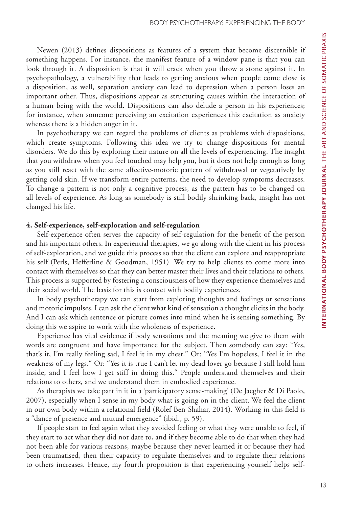Newen (2013) defines dispositions as features of a system that become discernible if something happens. For instance, the manifest feature of a window pane is that you can look through it. A disposition is that it will crack when you throw a stone against it. In psychopathology, a vulnerability that leads to getting anxious when people come close is a disposition, as well, separation anxiety can lead to depression when a person loses an important other. Thus, dispositions appear as structuring causes within the interaction of a human being with the world. Dispositions can also delude a person in his experiences; for instance, when someone perceiving an excitation experiences this excitation as anxiety whereas there is a hidden anger in it.

In psychotherapy we can regard the problems of clients as problems with dispositions, which create symptoms. Following this idea we try to change dispositions for mental disorders. We do this by exploring their nature on all the levels of experiencing. The insight that you withdraw when you feel touched may help you, but it does not help enough as long as you still react with the same affective-motoric pattern of withdrawal or vegetatively by getting cold skin. If we transform entire patterns, the need to develop symptoms decreases. To change a pattern is not only a cognitive process, as the pattern has to be changed on all levels of experience. As long as somebody is still bodily shrinking back, insight has not changed his life.

#### **4. Self-experience, self-exploration and self-regulation**

Self-experience often serves the capacity of self-regulation for the benefit of the person and his important others. In experiential therapies, we go along with the client in his process of self-exploration, and we guide this process so that the client can explore and reappropriate his self (Perls, Hefferline & Goodman, 1951). We try to help clients to come more into contact with themselves so that they can better master their lives and their relations to others. This process is supported by fostering a consciousness of how they experience themselves and their social world. The basis for this is contact with bodily experiences.

In body psychotherapy we can start from exploring thoughts and feelings or sensations and motoric impulses. I can ask the client what kind of sensation a thought elicits in the body. And I can ask which sentence or picture comes into mind when he is sensing something. By doing this we aspire to work with the wholeness of experience.

Experience has vital evidence if body sensations and the meaning we give to them with words are congruent and have importance for the subject. Then somebody can say: "Yes, that's it, I'm really feeling sad, I feel it in my chest." Or: "Yes I'm hopeless, I feel it in the weakness of my legs." Or: "Yes it is true I can't let my dead lover go because I still hold him inside, and I feel how I get stiff in doing this." People understand themselves and their relations to others, and we understand them in embodied experience.

As therapists we take part in it in a 'participatory sense-making' (De Jaegher & Di Paolo, 2007), especially when I sense in my body what is going on in the client. We feel the client in our own body within a relational field (Rolef Ben-Shahar, 2014). Working in this field is a "dance of presence and mutual emergence" (ibid., p. 59).

If people start to feel again what they avoided feeling or what they were unable to feel, if they start to act what they did not dare to, and if they become able to do that when they had not been able for various reasons, maybe because they never learned it or because they had been traumatised, then their capacity to regulate themselves and to regulate their relations to others increases. Hence, my fourth proposition is that experiencing yourself helps self-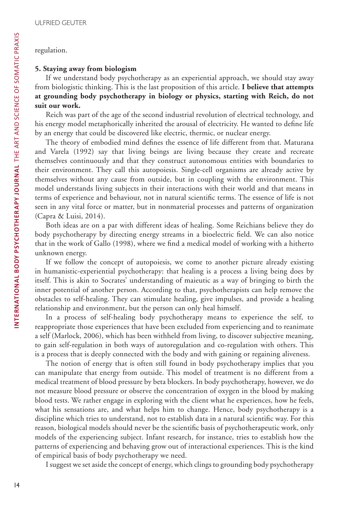#### regulation.

## **5. Staying away from biologism**

If we understand body psychotherapy as an experiential approach, we should stay away from biologistic thinking. This is the last proposition of this article. **I believe that attempts at grounding body psychotherapy in biology or physics, starting with Reich, do not suit our work.**

Reich was part of the age of the second industrial revolution of electrical technology, and his energy model metaphorically inherited the arousal of electricity. He wanted to define life by an energy that could be discovered like electric, thermic, or nuclear energy.

The theory of embodied mind defines the essence of life different from that. Maturana and Varela (1992) say that living beings are living because they create and recreate themselves continuously and that they construct autonomous entities with boundaries to their environment. They call this autopoiesis. Single-cell organisms are already active by themselves without any cause from outside, but in coupling with the environment. This model understands living subjects in their interactions with their world and that means in terms of experience and behaviour, not in natural scientific terms. The essence of life is not seen in any vital force or matter, but in nonmaterial processes and patterns of organization (Capra & Luisi, 2014).

Both ideas are on a par with different ideas of healing. Some Reichians believe they do body psychotherapy by directing energy streams in a bioelectric field. We can also notice that in the work of Gallo (1998), where we find a medical model of working with a hitherto unknown energy.

If we follow the concept of autopoiesis, we come to another picture already existing in humanistic-experiential psychotherapy: that healing is a process a living being does by itself. This is akin to Socrates' understanding of maieutic as a way of bringing to birth the inner potential of another person. According to that, psychotherapists can help remove the obstacles to self-healing. They can stimulate healing, give impulses, and provide a healing relationship and environment, but the person can only heal himself.

In a process of self-healing body psychotherapy means to experience the self, to reappropriate those experiences that have been excluded from experiencing and to reanimate a self (Marlock, 2006), which has been withheld from living, to discover subjective meaning, to gain self-regulation in both ways of autoregulation and co-regulation with others. This is a process that is deeply connected with the body and with gaining or regaining aliveness.

The notion of energy that is often still found in body psychotherapy implies that you can manipulate that energy from outside. This model of treatment is no different from a medical treatment of blood pressure by beta blockers. In body psychotherapy, however, we do not measure blood pressure or observe the concentration of oxygen in the blood by making blood tests. We rather engage in exploring with the client what he experiences, how he feels, what his sensations are, and what helps him to change. Hence, body psychotherapy is a discipline which tries to understand, not to establish data in a natural scientific way. For this reason, biological models should never be the scientific basis of psychotherapeutic work, only models of the experiencing subject. Infant research, for instance, tries to establish how the patterns of experiencing and behaving grow out of interactional experiences. This is the kind of empirical basis of body psychotherapy we need.

I suggest we set aside the concept of energy, which clings to grounding body psychotherapy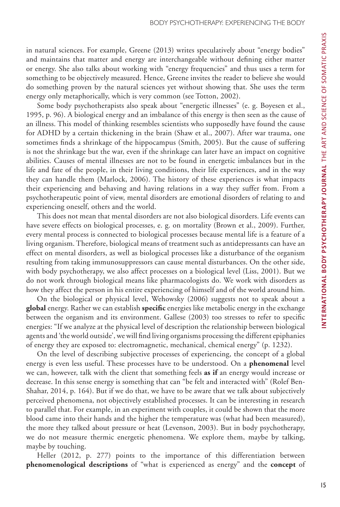in natural sciences. For example, Greene (2013) writes speculatively about "energy bodies" and maintains that matter and energy are interchangeable without defining either matter or energy. She also talks about working with "energy frequencies" and thus uses a term for something to be objectively measured. Hence, Greene invites the reader to believe she would do something proven by the natural sciences yet without showing that. She uses the term energy only metaphorically, which is very common (see Totton, 2002).

Some body psychotherapists also speak about "energetic illnesses" (e. g. Boyesen et al., 1995, p. 96). A biological energy and an imbalance of this energy is then seen as the cause of an illness. This model of thinking resembles scientists who supposedly have found the cause for ADHD by a certain thickening in the brain (Shaw et al., 2007). After war trauma, one sometimes finds a shrinkage of the hippocampus (Smith, 2005). But the cause of suffering is not the shrinkage but the war, even if the shrinkage can later have an impact on cognitive abilities. Causes of mental illnesses are not to be found in energetic imbalances but in the life and fate of the people, in their living conditions, their life experiences, and in the way they can handle them (Marlock, 2006). The history of these experiences is what impacts their experiencing and behaving and having relations in a way they suffer from. From a psychotherapeutic point of view, mental disorders are emotional disorders of relating to and experiencing oneself, others and the world.

This does not mean that mental disorders are not also biological disorders. Life events can have severe effects on biological processes, e. g. on mortality (Brown et al., 2009). Further, every mental process is connected to biological processes because mental life is a feature of a living organism. Therefore, biological means of treatment such as antidepressants can have an effect on mental disorders, as well as biological processes like a disturbance of the organism resulting from taking immunosuppressors can cause mental disturbances. On the other side, with body psychotherapy, we also affect processes on a biological level (Liss, 2001). But we do not work through biological means like pharmacologists do. We work with disorders as how they affect the person in his entire experiencing of himself and of the world around him.

On the biological or physical level, Wehowsky (2006) suggests not to speak about a **global** energy. Rather we can establish **specific** energies like metabolic energy in the exchange between the organism and its environment. Gallese (2003) too stresses to refer to specific energies: "If we analyze at the physical level of description the relationship between biological agents and 'the world outside', we will find living organisms processing the different epiphanies of energy they are exposed to: electromagnetic, mechanical, chemical energy" (p. 1232).

On the level of describing subjective processes of experiencing, the concept of a global energy is even less useful. These processes have to be understood. On a **phenomenal** level we can, however, talk with the client that something feels **as if** an energy would increase or decrease. In this sense energy is something that can "be felt and interacted with" (Rolef Ben-Shahar, 2014, p. 164). But if we do that, we have to be aware that we talk about subjectively perceived phenomena, not objectively established processes. It can be interesting in research to parallel that. For example, in an experiment with couples, it could be shown that the more blood came into their hands and the higher the temperature was (what had been measured), the more they talked about pressure or heat (Levenson, 2003). But in body psychotherapy, we do not measure thermic energetic phenomena. We explore them, maybe by talking, maybe by touching.

Heller (2012, p. 277) points to the importance of this differentiation between **phenomenological descriptions** of "what is experienced as energy" and the **concept** of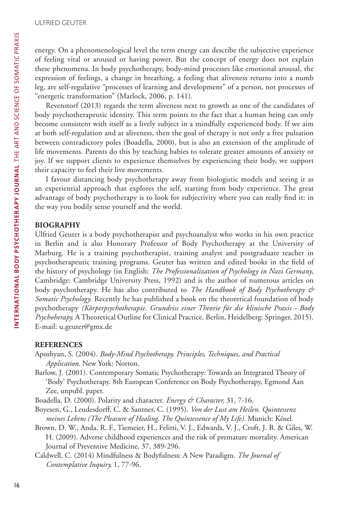energy. On a phenomenological level the term energy can describe the subjective experience of feeling vital or aroused or having power. But the concept of energy does not explain these phenomena. In body psychotherapy, body-mind processes like emotional arousal, the expression of feelings, a change in breathing, a feeling that aliveness returns into a numb leg, are self-regulative "processes of learning and development" of a person, not processes of "energetic transformation" (Marlock, 2006, p. 141).

Revenstorf (2013) regards the term aliveness next to growth as one of the candidates of body psychotherapeutic identity. This term points to the fact that a human being can only become consistent with itself as a lively subject in a mindfully experienced body. If we aim at both self-regulation and at aliveness, then the goal of therapy is not only a free pulsation between contradictory poles (Boadella, 2000), but is also an extension of the amplitude of life movements. Parents do this by teaching babies to tolerate greater amounts of anxiety or joy. If we support clients to experience themselves by experiencing their body, we support their capacity to feel their live movements.

I favour distancing body psychotherapy away from biologistic models and seeing it as an experiential approach that explores the self, starting from body experience. The great advantage of body psychotherapy is to look for subjectivity where you can really find it: in the way you bodily sense yourself and the world.

### **BIOGRAPHY**

Ulfried Geuter is a body psychotherapist and psychoanalyst who works in his own practice in Berlin and is also Honorary Professor of Body Psychotherapy at the University of Marburg. He is a training psychotherapist, training analyst and postgraduate teacher in psychotherapeutic training programs. Geuter has written and edited books in the field of the history of psychology (in English: *The Professionalization of Psychology in Nazi Germany*, Cambridge: Cambridge University Press, 1992) and is the author of numerous articles on body psychotherapy. He has also contributed to *The Handbook of Body Psychotherapy & Somatic Psychology*. Recently he has published a book on the theoretical foundation of body psychotherapy *(Körperpsychotherapie. Grundriss einer Theorie für die klinische Praxis - Body Psychoherapy.* A Theoretical Outline for Clinical Practice. Berlin, Heidelberg: Springer, 2015). E-mail: u.geuter@gmx.de

## **REFERENCES**

Aposhyan, S. (2004). *Body-Mind Psychotherapy. Principles, Techniques, and Practical Application*. New York: Norton.

- Barlow, J. (2001). Contemporary Somatic Psychotherapy: Towards an Integrated Theory of 'Body' Psychotherapy. 8th European Conference on Body Psychotherapy, Egmond Aan Zee, unpubl. paper.
- Boadella, D. (2000). Polarity and character. *Energy & Character,* 31, 7-16.
- Boyesen, G., Leudesdorff, C. & Santner, C. (1995). *Von der Lust am Heilen. Quintessenz meines Lebens (The Pleasure of Healing. The Quintessence of My Life).* Munich: Kösel.
- Brown, D. W., Anda, R. F., Tiemeier, H., Felitti, V. J., Edwards, V. J., Croft, J. B. & Giles, W. H. (2009). Adverse childhood experiences and the risk of premature mortality. American Journal of Preventive Medicine, 37, 389-296.
- Caldwell, C. (2014) Mindfulness & Bodyfulness: A New Paradigm. *The Journal of Contemplative Inquiry,* 1, 77-96.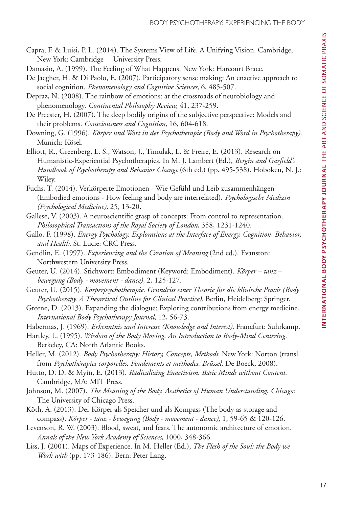- Capra, F. & Luisi, P. L. (2014). The Systems View of Life. A Unifying Vision. Cambridge, New York: Cambridge University Press.
- Damasio, A. (1999). The Feeling of What Happens. New York: Harcourt Brace.
- De Jaegher, H. & Di Paolo, E. (2007). Participatory sense making: An enactive approach to social cognition. *Phenomenology and Cognitive Sciences,* 6, 485-507.
- Depraz, N. (2008). The rainbow of emotions: at the crossroads of neurobiology and phenomenology. *Continental Philosophy Review,* 41, 237-259.
- De Preester, H. (2007). The deep bodily origins of the subjective perspective: Models and their problems. *Consciousness and Cognition,* 16, 604-618.
- Downing, G. (1996). *Körper und Wort in der Psychotherapie (Body and Word in Psychotherapy).* Munich: Kösel.
- Elliott, R., Greenberg, L. S., Watson, J., Timulak, L. & Freire, E. (2013). Research on Humanistic-Experiential Psychotherapies. In M. J. Lambert (Ed.), *Bergin and Garfield's Handbook of Psychotherapy and Behavior Change* (6th ed.) (pp. 495-538). Hoboken, N. J.: Wiley.
- Fuchs, T. (2014). Verkörperte Emotionen Wie Gefühl und Leib zusammenhängen (Embodied emotions - How feeling and body are interrelated). *Psychologische Medizin (Psychological Medicine),* 25, 13-20.
- Gallese, V. (2003). A neuroscientific grasp of concepts: From control to representation. *Philosophical Transactions of the Royal Society of London,* 358, 1231-1240.
- Gallo, F. (1998). *Energy Psychology. Explorations at the Interface of Energy, Cognition, Behavior, and Health*. St. Lucie: CRC Press.
- Gendlin, E. (1997). *Experiencing and the Creation of Meaning* (2nd ed.). Evanston: Northwestern University Press.
- Geuter, U. (2014). Stichwort: Embodiment (Keyword: Embodiment). *Körper tanz bewegung (Body - movement - dance),* 2, 125-127.
- Geuter, U. (2015). *Körperpsychotherapie. Grundriss einer Theorie für die klinische Praxis (Body Psychotherapy. A Theoretical Outline for Clinical Practice).* Berlin, Heidelberg: Springer.
- Greene, D. (2013). Expanding the dialogue: Exploring contributions from energy medicine. *International Body Psychotherapy Journal,* 12, 56-73.
- Habermas, J. (1969). *Erkenntnis und Interesse (Knowledge and Interest).* Francfurt: Suhrkamp.
- Hartley, L. (1995). *Wisdom of the Body Moving. An Introduction to Body-Mind Centering.* Berkeley, CA: North Atlantic Books.
- Heller, M. (2012). *Body Psychotherapy: History, Concepts, Methods.* New York: Norton (transl. from *Psychothérapies corporelles. Fondements et méthodes. Brüssel:* De Boeck, 2008).
- Hutto, D. D. & Myin, E. (2013). *Radicalizing Enactivism. Basic Minds without Content.* Cambridge, MA: MIT Press.
- Johnson, M. (2007). *The Meaning of the Body. Aesthetics of Human Understanding. Chicago:* The University of Chicago Press.
- Köth, A. (2013). Der Körper als Speicher und als Kompass (The body as storage and compass). *Körper - tanz - bewegung (Body - movement - dance)*, 1, 59-65 & 120-126.
- Levenson, R. W. (2003). Blood, sweat, and fears. The autonomic architecture of emotion. *Annals of the New York Academy of Sciences,* 1000, 348-366.
- Liss, J. (2001). Maps of Experience. In M. Heller (Ed.), *The Flesh of the Soul: the Body we Work with* (pp. 173-186). Bern: Peter Lang.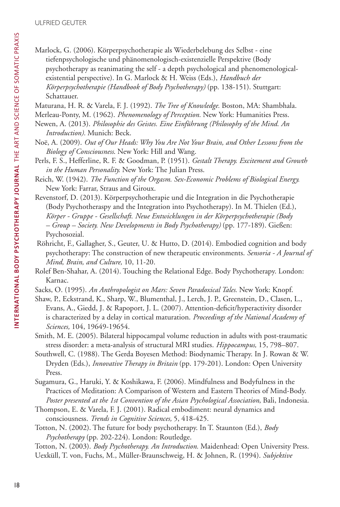ULFRIED GEUTER

Marlock, G. (2006). Körperpsychotherapie als Wiederbelebung des Selbst - eine tiefenpsychologische und phänomenologisch-existenzielle Perspektive (Body psychotherapy as reanimating the self - a depth psychological and phenomenologicalexistential perspective). In G. Marlock & H. Weiss (Eds.), *Handbuch der Körperpsychotherapie (Handbook of Body Psychotherapy)* (pp. 138-151). Stuttgart: Schattauer.

Maturana, H. R. & Varela, F. J. (1992). *The Tree of Knowledge.* Boston, MA: Shambhala.

Merleau-Ponty, M. (1962). *Phenomenology of Perception.* New York: Humanities Press.

- Newen, A. (2013). *Philosophie des Geistes. Eine Einführung (Philosophy of the Mind. An Introduction).* Munich: Beck.
- Noë, A. (2009). *Out of Our Heads: Why You Are Not Your Brain, and Other Lessons from the Biology of Consciousness*. New York: Hill and Wang.
- Perls, F. S., Hefferline, R. F. & Goodman, P. (1951). *Gestalt Therapy. Excitement and Growth in the Human Personality.* New York: The Julian Press.
- Reich, W. (1942). *The Function of the Orgasm. Sex-Economic Problems of Biological Energy.* New York: Farrar, Straus and Giroux.
- Revenstorf, D. (2013). Körperpsychotherapie und die Integration in die Psychotherapie (Body Psychotheraspy and the Integration into Psychotherapy). In M. Thielen (Ed.), *Körper - Gruppe - Gesellschaft. Neue Entwicklungen in der Körperpsychotherapie (Body – Group – Society. New Developments in Body Psychotherapy)* (pp. 177-189). Gießen: Psychosozial.
- Röhricht, F., Gallagher, S., Geuter, U. & Hutto, D. (2014). Embodied cognition and body psychotherapy: The construction of new therapeutic environments. *Sensoria - A Journal of Mind, Brain, and Culture,* 10, 11-20.
- Rolef Ben-Shahar, A. (2014). Touching the Relational Edge. Body Psychotherapy. London: Karnac.
- Sacks, O. (1995). *An Anthropologist on Mars: Seven Paradoxical Tales.* New York: Knopf.
- Shaw, P., Eckstrand, K., Sharp, W., Blumenthal, J., Lerch, J. P., Greenstein, D., Clasen, L., Evans, A., Giedd, J. & Rapoport, J. L. (2007). Attention-deficit/hyperactivity disorder is characterized by a delay in cortical maturation. *Proceedings of the National Academy of Sciences,* 104, 19649-19654.
- Smith, M. E. (2005). Bilateral hippocampal volume reduction in adults with post-traumatic stress disorder: a meta-analysis of structural MRI studies. *Hippocampus,* 15, 798–807.
- Southwell, C. (1988). The Gerda Boyesen Method: Biodynamic Therapy. In J. Rowan & W. Dryden (Eds.), *Innovative Therapy in Britain* (pp. 179-201). London: Open University Press.
- Sugamura, G., Haruki, Y. & Koshikawa, F. (2006). Mindfulness and Bodyfulness in the Practices of Meditation: A Comparison of Western and Eastern Theories of Mind-Body. *Poster presented at the 1st Convention of the Asian Psychological Association*, Bali, Indonesia.
- Thompson, E. & Varela, F. J. (2001). Radical embodiment: neural dynamics and consciousness. *Trends in Cognitive Sciences,* 5, 418-425.
- Totton, N. (2002). The future for body psychotherapy. In T. Staunton (Ed.), *Body Psychotherapy* (pp. 202-224). London: Routledge.
- Totton, N. (2003). *Body Psychotherapy. An Introduction.* Maidenhead: Open University Press.
- Uexküll, T. von, Fuchs, M., Müller-Braunschweig, H. & Johnen, R. (1994). *Subjektive*